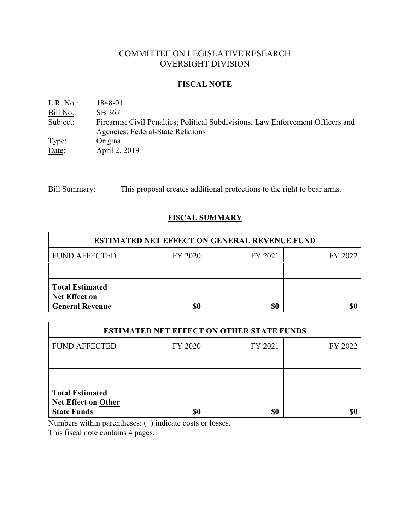# COMMITTEE ON LEGISLATIVE RESEARCH OVERSIGHT DIVISION

### **FISCAL NOTE**

| L.R. No.: | 1848-01                                                                         |
|-----------|---------------------------------------------------------------------------------|
| Bill No.: | SB 367                                                                          |
| Subject:  | Firearms; Civil Penalties; Political Subdivisions; Law Enforcement Officers and |
|           | Agencies; Federal-State Relations                                               |
| Type:     | Original                                                                        |
| Date:     | April 2, 2019                                                                   |

Bill Summary: This proposal creates additional protections to the right to bear arms.

# **FISCAL SUMMARY**

| <b>ESTIMATED NET EFFECT ON GENERAL REVENUE FUND</b>                      |         |         |         |  |
|--------------------------------------------------------------------------|---------|---------|---------|--|
| <b>FUND AFFECTED</b>                                                     | FY 2020 | FY 2021 | FY 2022 |  |
|                                                                          |         |         |         |  |
| <b>Total Estimated</b><br><b>Net Effect on</b><br><b>General Revenue</b> | \$0     | \$0     |         |  |

| <b>ESTIMATED NET EFFECT ON OTHER STATE FUNDS</b>                           |         |         |         |  |
|----------------------------------------------------------------------------|---------|---------|---------|--|
| <b>FUND AFFECTED</b>                                                       | FY 2020 | FY 2021 | FY 2022 |  |
|                                                                            |         |         |         |  |
|                                                                            |         |         |         |  |
| <b>Total Estimated</b><br><b>Net Effect on Other</b><br><b>State Funds</b> | \$0     | \$0     |         |  |

Numbers within parentheses: ( ) indicate costs or losses.

This fiscal note contains 4 pages.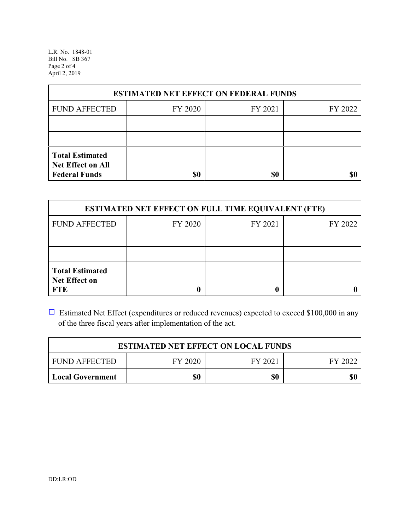L.R. No. 1848-01 Bill No. SB 367 Page 2 of 4 April 2, 2019

| <b>ESTIMATED NET EFFECT ON FEDERAL FUNDS</b>                        |         |         |         |  |
|---------------------------------------------------------------------|---------|---------|---------|--|
| <b>FUND AFFECTED</b>                                                | FY 2020 | FY 2021 | FY 2022 |  |
|                                                                     |         |         |         |  |
|                                                                     |         |         |         |  |
| <b>Total Estimated</b><br>Net Effect on All<br><b>Federal Funds</b> | \$0     | \$0     |         |  |

| <b>ESTIMATED NET EFFECT ON FULL TIME EQUIVALENT (FTE)</b>    |         |         |         |  |
|--------------------------------------------------------------|---------|---------|---------|--|
| <b>FUND AFFECTED</b>                                         | FY 2020 | FY 2021 | FY 2022 |  |
|                                                              |         |         |         |  |
|                                                              |         |         |         |  |
| <b>Total Estimated</b><br><b>Net Effect on</b><br><b>FTE</b> |         |         |         |  |

 $\Box$  Estimated Net Effect (expenditures or reduced revenues) expected to exceed \$100,000 in any of the three fiscal years after implementation of the act.

| <b>ESTIMATED NET EFFECT ON LOCAL FUNDS</b> |         |         |         |  |
|--------------------------------------------|---------|---------|---------|--|
| <b>FUND AFFECTED</b>                       | FY 2020 | FY 2021 | FY 2022 |  |
| <b>Local Government</b>                    | \$0     | \$0     | \$0     |  |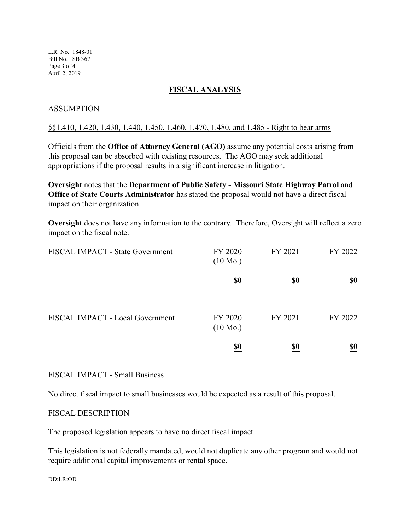L.R. No. 1848-01 Bill No. SB 367 Page 3 of 4 April 2, 2019

### **FISCAL ANALYSIS**

### ASSUMPTION

#### §§1.410, 1.420, 1.430, 1.440, 1.450, 1.460, 1.470, 1.480, and 1.485 - Right to bear arms

Officials from the **Office of Attorney General (AGO)** assume any potential costs arising from this proposal can be absorbed with existing resources. The AGO may seek additional appropriations if the proposal results in a significant increase in litigation.

**Oversight** notes that the **Department of Public Safety - Missouri State Highway Patrol** and **Office of State Courts Administrator** has stated the proposal would not have a direct fiscal impact on their organization.

**Oversight** does not have any information to the contrary. Therefore, Oversight will reflect a zero impact on the fiscal note.

| FISCAL IMPACT - State Government | FY 2020<br>$(10 \text{ Mo.})$ | FY 2021    | FY 2022                       |
|----------------------------------|-------------------------------|------------|-------------------------------|
|                                  | <u>\$0</u>                    | <u>\$0</u> | $\underline{\underline{\$0}}$ |
| FISCAL IMPACT - Local Government | FY 2020<br>$(10 \text{ Mo.})$ | FY 2021    | FY 2022                       |
|                                  | <u>\$0</u>                    | <u>\$0</u> | <u>\$0</u>                    |

#### FISCAL IMPACT - Small Business

No direct fiscal impact to small businesses would be expected as a result of this proposal.

#### FISCAL DESCRIPTION

The proposed legislation appears to have no direct fiscal impact.

This legislation is not federally mandated, would not duplicate any other program and would not require additional capital improvements or rental space.

DD:LR:OD